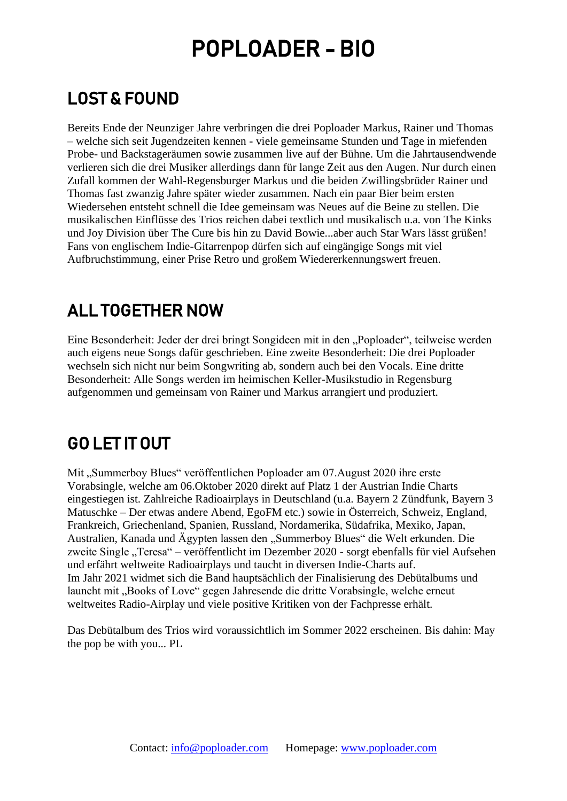## POPLOADER - BIO

## LOST & FOUND

Bereits Ende der Neunziger Jahre verbringen die drei Poploader Markus, Rainer und Thomas – welche sich seit Jugendzeiten kennen - viele gemeinsame Stunden und Tage in miefenden Probe- und Backstageräumen sowie zusammen live auf der Bühne. Um die Jahrtausendwende verlieren sich die drei Musiker allerdings dann für lange Zeit aus den Augen. Nur durch einen Zufall kommen der Wahl-Regensburger Markus und die beiden Zwillingsbrüder Rainer und Thomas fast zwanzig Jahre später wieder zusammen. Nach ein paar Bier beim ersten Wiedersehen entsteht schnell die Idee gemeinsam was Neues auf die Beine zu stellen. Die musikalischen Einflüsse des Trios reichen dabei textlich und musikalisch u.a. von The Kinks und Joy Division über The Cure bis hin zu David Bowie...aber auch Star Wars lässt grüßen! Fans von englischem Indie-Gitarrenpop dürfen sich auf eingängige Songs mit viel Aufbruchstimmung, einer Prise Retro und großem Wiedererkennungswert freuen.

### ALL TOGETHER NOW

Eine Besonderheit: Jeder der drei bringt Songideen mit in den "Poploader", teilweise werden auch eigens neue Songs dafür geschrieben. Eine zweite Besonderheit: Die drei Poploader wechseln sich nicht nur beim Songwriting ab, sondern auch bei den Vocals. Eine dritte Besonderheit: Alle Songs werden im heimischen Keller-Musikstudio in Regensburg aufgenommen und gemeinsam von Rainer und Markus arrangiert und produziert.

### GO LET IT OUT

Mit "Summerboy Blues" veröffentlichen Poploader am 07.August 2020 ihre erste Vorabsingle, welche am 06.Oktober 2020 direkt auf Platz 1 der Austrian Indie Charts eingestiegen ist. Zahlreiche Radioairplays in Deutschland (u.a. Bayern 2 Zündfunk, Bayern 3 Matuschke – Der etwas andere Abend, EgoFM etc.) sowie in Österreich, Schweiz, England, Frankreich, Griechenland, Spanien, Russland, Nordamerika, Südafrika, Mexiko, Japan, Australien, Kanada und Ägypten lassen den "Summerboy Blues" die Welt erkunden. Die zweite Single "Teresa" – veröffentlicht im Dezember 2020 - sorgt ebenfalls für viel Aufsehen und erfährt weltweite Radioairplays und taucht in diversen Indie-Charts auf. Im Jahr 2021 widmet sich die Band hauptsächlich der Finalisierung des Debütalbums und launcht mit "Books of Love" gegen Jahresende die dritte Vorabsingle, welche erneut weltweites Radio-Airplay und viele positive Kritiken von der Fachpresse erhält.

Das Debütalbum des Trios wird voraussichtlich im Sommer 2022 erscheinen. Bis dahin: May the pop be with you... PL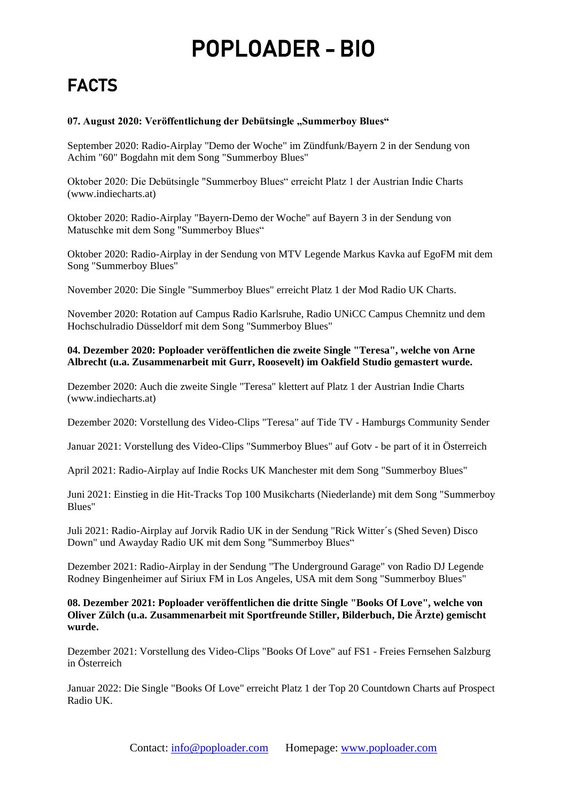# POPLOADER - BIO

## FACTS

#### 07. August 2020: Veröffentlichung der Debütsingle "Summerboy Blues"

September 2020: Radio-Airplay "Demo der Woche" im Zündfunk/Bayern 2 in der Sendung von Achim "60" Bogdahn mit dem Song "Summerboy Blues"

Oktober 2020: Die Debütsingle "Summerboy Blues" erreicht Platz 1 der Austrian Indie Charts [\(www.indiecharts.at\)](https://deref-web.de/mail/client/wBo8LfVCCBI/dereferrer/?redirectUrl=http%3A%2F%2Fwww.indiecharts.at)

Oktober 2020: Radio-Airplay "Bayern-Demo der Woche" auf Bayern 3 in der Sendung von Matuschke mit dem Song "Summerboy Blues"

Oktober 2020: Radio-Airplay in der Sendung von MTV Legende Markus Kavka auf EgoFM mit dem Song "Summerboy Blues"

November 2020: Die Single "Summerboy Blues" erreicht Platz 1 der Mod Radio UK Charts.

November 2020: Rotation auf Campus Radio Karlsruhe, Radio UNiCC Campus Chemnitz und dem Hochschulradio Düsseldorf mit dem Song "Summerboy Blues"

#### **04. Dezember 2020: Poploader veröffentlichen die zweite Single "Teresa", welche von Arne Albrecht (u.a. Zusammenarbeit mit Gurr, Roosevelt) im Oakfield Studio gemastert wurde.**

Dezember 2020: Auch die zweite Single "Teresa" klettert auf Platz 1 der Austrian Indie Charts [\(www.indiecharts.at\)](https://deref-web.de/mail/client/wBo8LfVCCBI/dereferrer/?redirectUrl=http%3A%2F%2Fwww.indiecharts.at)

Dezember 2020: Vorstellung des Video-Clips "Teresa" auf Tide TV - Hamburgs Community Sender

Januar 2021: Vorstellung des Video-Clips "Summerboy Blues" auf Gotv - be part of it in Österreich

April 2021: Radio-Airplay auf Indie Rocks UK Manchester mit dem Song "Summerboy Blues"

Juni 2021: Einstieg in die Hit-Tracks Top 100 Musikcharts (Niederlande) mit dem Song "Summerboy Blues"

Juli 2021: Radio-Airplay auf Jorvik Radio UK in der Sendung "Rick Witter´s (Shed Seven) Disco Down" und Awayday Radio UK mit dem Song "Summerboy Blues"

Dezember 2021: Radio-Airplay in der Sendung "The Underground Garage" von Radio DJ Legende Rodney Bingenheimer auf Siriux FM in Los Angeles, USA mit dem Song "Summerboy Blues"

#### **08. Dezember 2021: Poploader veröffentlichen die dritte Single "Books Of Love", welche von Oliver Zülch (u.a. Zusammenarbeit mit Sportfreunde Stiller, Bilderbuch, Die Ärzte) gemischt wurde.**

Dezember 2021: Vorstellung des Video-Clips "Books Of Love" auf FS1 - Freies Fernsehen Salzburg in Österreich

Januar 2022: Die Single "Books Of Love" erreicht Platz 1 der Top 20 Countdown Charts auf Prospect Radio UK.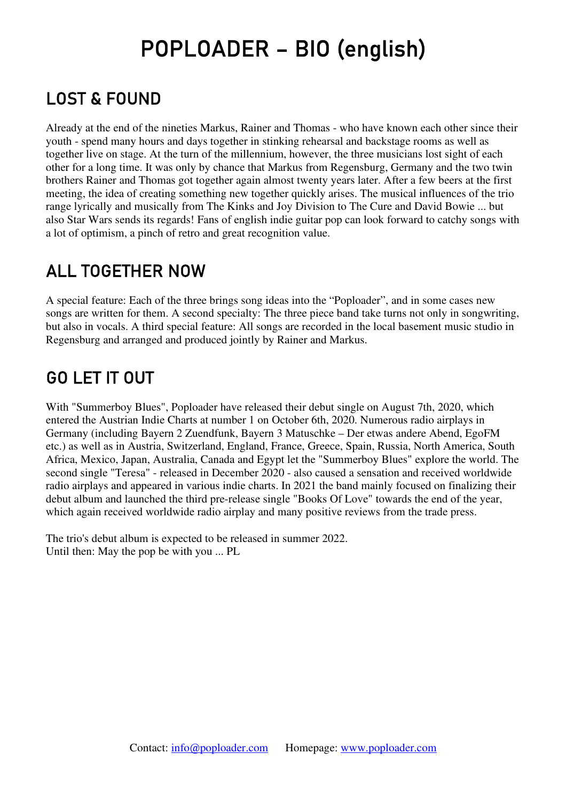# POPLOADER – BIO (english)

## LOST & FOUND

Already at the end of the nineties Markus, Rainer and Thomas - who have known each other since their youth - spend many hours and days together in stinking rehearsal and backstage rooms as well as together live on stage. At the turn of the millennium, however, the three musicians lost sight of each other for a long time. It was only by chance that Markus from Regensburg, Germany and the two twin brothers Rainer and Thomas got together again almost twenty years later. After a few beers at the first meeting, the idea of creating something new together quickly arises. The musical influences of the trio range lyrically and musically from The Kinks and Joy Division to The Cure and David Bowie ... but also Star Wars sends its regards! Fans of english indie guitar pop can look forward to catchy songs with a lot of optimism, a pinch of retro and great recognition value.

### ALL TOGETHER NOW

A special feature: Each of the three brings song ideas into the "Poploader", and in some cases new songs are written for them. A second specialty: The three piece band take turns not only in songwriting, but also in vocals. A third special feature: All songs are recorded in the local basement music studio in Regensburg and arranged and produced jointly by Rainer and Markus.

### GO LET IT OUT

With "Summerboy Blues", Poploader have released their debut single on August 7th, 2020, which entered the Austrian Indie Charts at number 1 on October 6th, 2020. Numerous radio airplays in Germany (including Bayern 2 Zuendfunk, Bayern 3 Matuschke – Der etwas andere Abend, EgoFM etc.) as well as in Austria, Switzerland, England, France, Greece, Spain, Russia, North America, South Africa, Mexico, Japan, Australia, Canada and Egypt let the "Summerboy Blues" explore the world. The second single "Teresa" - released in December 2020 - also caused a sensation and received worldwide radio airplays and appeared in various indie charts. In 2021 the band mainly focused on finalizing their debut album and launched the third pre-release single "Books Of Love" towards the end of the year, which again received worldwide radio airplay and many positive reviews from the trade press.

The trio's debut album is expected to be released in summer 2022. Until then: May the pop be with you ... PL